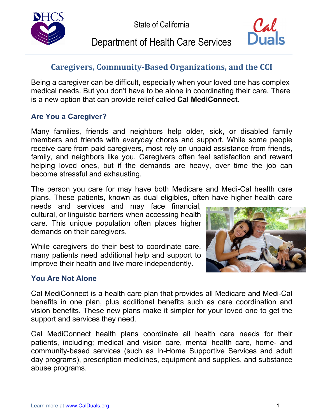

# Department of Health Care Services



## **Caregivers, Community-Based Organizations, and the CCI**

 Being a caregiver can be difficult, especially when your loved one has complex medical needs. But you don't have to be alone in coordinating their care. There is a new option that can provide relief called **Cal MediConnect**.

#### **Are You a Caregiver?**

 members and friends with everyday chores and support. While some people family, and neighbors like you. Caregivers often feel satisfaction and reward helping loved ones, but if the demands are heavy, over time the job can Many families, friends and neighbors help older, sick, or disabled family receive care from paid caregivers, most rely on unpaid assistance from friends, become stressful and exhausting.

 The person you care for may have both Medicare and Medi-Cal health care plans. These patients, known as dual eligibles, often have higher health care

 needs and services and may face financial, demands on their caregivers. cultural, or linguistic barriers when accessing health care. This unique population often places higher

 While caregivers do their best to coordinate care, many patients need additional help and support to improve their health and live more independently.



#### **You Are Not Alone**

 Cal MediConnect is a health care plan that provides all Medicare and Medi-Cal benefits in one plan, plus additional benefits such as care coordination and vision benefits. These new plans make it simpler for your loved one to get the support and services they need.

 patients, including; medical and vision care, mental health care, home- and day programs), prescription medicines, equipment and supplies, and substance Cal MediConnect health plans coordinate all health care needs for their community-based services (such as In-Home Supportive Services and adult abuse programs.